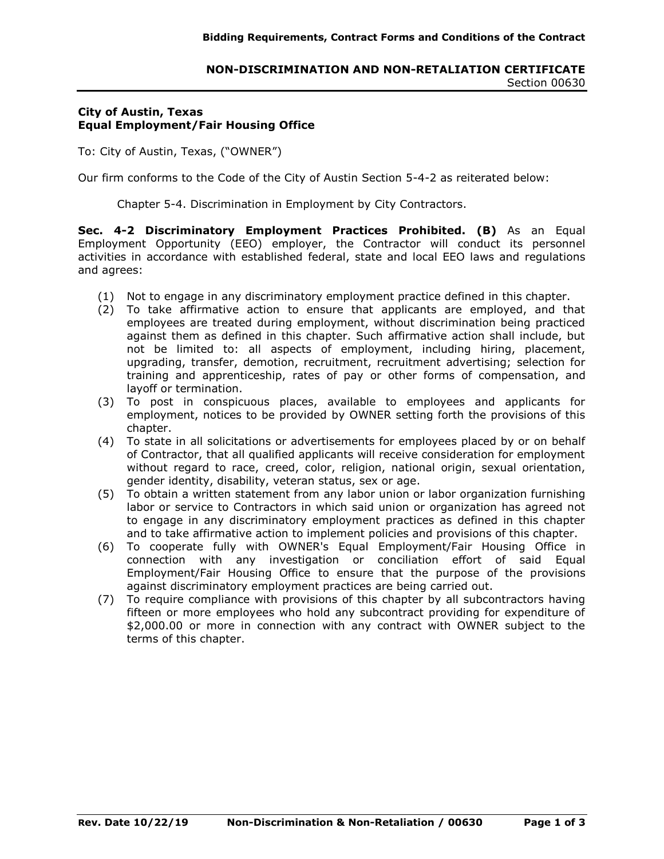# **City of Austin, Texas Equal Employment/Fair Housing Office**

To: City of Austin, Texas, ("OWNER")

Our firm conforms to the Code of the City of Austin Section 5-4-2 as reiterated below:

Chapter 5-4. Discrimination in Employment by City Contractors.

**Sec. 4-2 Discriminatory Employment Practices Prohibited. (B)** As an Equal Employment Opportunity (EEO) employer, the Contractor will conduct its personnel activities in accordance with established federal, state and local EEO laws and regulations and agrees:

- (1) Not to engage in any discriminatory employment practice defined in this chapter.
- (2) To take affirmative action to ensure that applicants are employed, and that employees are treated during employment, without discrimination being practiced against them as defined in this chapter. Such affirmative action shall include, but not be limited to: all aspects of employment, including hiring, placement, upgrading, transfer, demotion, recruitment, recruitment advertising; selection for training and apprenticeship, rates of pay or other forms of compensation, and layoff or termination.
- (3) To post in conspicuous places, available to employees and applicants for employment, notices to be provided by OWNER setting forth the provisions of this chapter.
- (4) To state in all solicitations or advertisements for employees placed by or on behalf of Contractor, that all qualified applicants will receive consideration for employment without regard to race, creed, color, religion, national origin, sexual orientation, gender identity, disability, veteran status, sex or age.
- (5) To obtain a written statement from any labor union or labor organization furnishing labor or service to Contractors in which said union or organization has agreed not to engage in any discriminatory employment practices as defined in this chapter and to take affirmative action to implement policies and provisions of this chapter.
- (6) To cooperate fully with OWNER's Equal Employment/Fair Housing Office in connection with any investigation or conciliation effort of said Equal Employment/Fair Housing Office to ensure that the purpose of the provisions against discriminatory employment practices are being carried out.
- (7) To require compliance with provisions of this chapter by all subcontractors having fifteen or more employees who hold any subcontract providing for expenditure of \$2,000.00 or more in connection with any contract with OWNER subject to the terms of this chapter.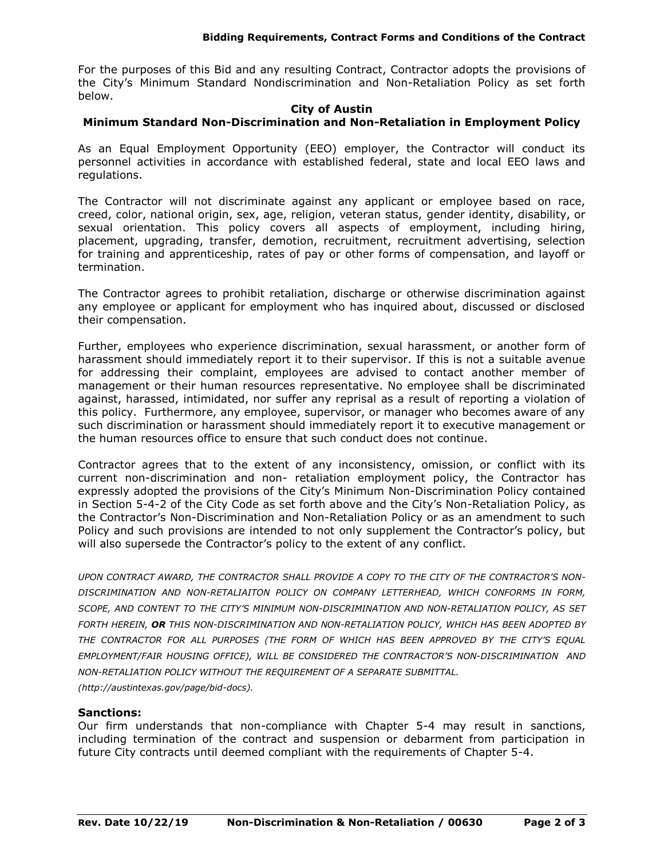For the purposes of this Bid and any resulting Contract, Contractor adopts the provisions of the City's Minimum Standard Nondiscrimination and Non-Retaliation Policy as set forth below.

#### **City of Austin**

## **Minimum Standard Non-Discrimination and Non-Retaliation in Employment Policy**

As an Equal Employment Opportunity (EEO) employer, the Contractor will conduct its personnel activities in accordance with established federal, state and local EEO laws and regulations.

The Contractor will not discriminate against any applicant or employee based on race, creed, color, national origin, sex, age, religion, veteran status, gender identity, disability, or sexual orientation. This policy covers all aspects of employment, including hiring, placement, upgrading, transfer, demotion, recruitment, recruitment advertising, selection for training and apprenticeship, rates of pay or other forms of compensation, and layoff or termination.

The Contractor agrees to prohibit retaliation, discharge or otherwise discrimination against any employee or applicant for employment who has inquired about, discussed or disclosed their compensation.

Further, employees who experience discrimination, sexual harassment, or another form of harassment should immediately report it to their supervisor. If this is not a suitable avenue for addressing their complaint, employees are advised to contact another member of management or their human resources representative. No employee shall be discriminated against, harassed, intimidated, nor suffer any reprisal as a result of reporting a violation of this policy. Furthermore, any employee, supervisor, or manager who becomes aware of any such discrimination or harassment should immediately report it to executive management or the human resources office to ensure that such conduct does not continue.

Contractor agrees that to the extent of any inconsistency, omission, or conflict with its current non-discrimination and non- retaliation employment policy, the Contractor has expressly adopted the provisions of the City's Minimum Non-Discrimination Policy contained in Section 5-4-2 of the City Code as set forth above and the City's Non-Retaliation Policy, as the Contractor's Non-Discrimination and Non-Retaliation Policy or as an amendment to such Policy and such provisions are intended to not only supplement the Contractor's policy, but will also supersede the Contractor's policy to the extent of any conflict.

*UPON CONTRACT AWARD, THE CONTRACTOR SHALL PROVIDE A COPY TO THE CITY OF THE CONTRACTOR'S NON-DISCRIMINATION AND NON-RETALIAITON POLICY ON COMPANY LETTERHEAD, WHICH CONFORMS IN FORM, SCOPE, AND CONTENT TO THE CITY'S MINIMUM NON-DISCRIMINATION AND NON-RETALIATION POLICY, AS SET FORTH HEREIN, OR THIS NON-DISCRIMINATION AND NON-RETALIATION POLICY, WHICH HAS BEEN ADOPTED BY THE CONTRACTOR FOR ALL PURPOSES (THE FORM OF WHICH HAS BEEN APPROVED BY THE CITY'S EQUAL EMPLOYMENT/FAIR HOUSING OFFICE), WILL BE CONSIDERED THE CONTRACTOR'S NON-DISCRIMINATION AND NON-RETALIATION POLICY WITHOUT THE REQUIREMENT OF A SEPARATE SUBMITTAL. (http://austintexas.gov/page/bid-docs).*

### **Sanctions:**

Our firm understands that non-compliance with Chapter 5-4 may result in sanctions, including termination of the contract and suspension or debarment from participation in future City contracts until deemed compliant with the requirements of Chapter 5-4.